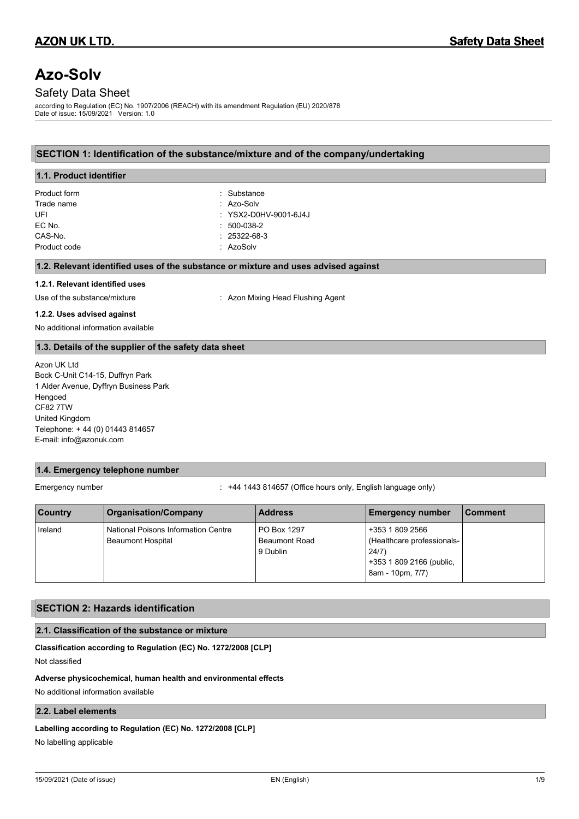# **Azo-Solv**

# Safety Data Sheet

according to Regulation (EC) No. 1907/2006 (REACH) with its amendment Regulation (EU) 2020/878 Date of issue: 15/09/2021 Version: 1.0

### **SECTION 1: Identification of the substance/mixture and of the company/undertaking**

| 1.1. Product identifier |                       |
|-------------------------|-----------------------|
| Product form            | : Substance           |
| Trade name              | $:$ Azo-Solv          |
| UFI                     | : YSX2-D0HV-9001-6J4J |
| EC No.                  | $: 500 - 038 - 2$     |
| CAS-No.                 | $: 25322 - 68 - 3$    |
| Product code            | : AzoSolv             |
|                         |                       |

### **1.2. Relevant identified uses of the substance or mixture and uses advised against**

#### **1.2.1. Relevant identified uses**

Use of the substance/mixture in the substance in the set of the substance/mixture in the set of Azon Mixing Head Flushing Agent

### **1.2.2. Uses advised against**

No additional information available

### **1.3. Details of the supplier of the safety data sheet**

Azon UK Ltd Bock C-Unit C14-15, Duffryn Park 1 Alder Avenue, Dyffryn Business Park Hengoed CF82 7TW United Kingdom Telephone: + 44 (0) 01443 814657 E-mail: info@azonuk.com

# **1.4. Emergency telephone number**

Emergency number : +44 1443 814657 (Office hours only, English language only)

| <b>Country</b> | <b>Organisation/Company</b>                                            | <b>Address</b>                                  | <b>Emergency number</b>                                                                                | l Comment |
|----------------|------------------------------------------------------------------------|-------------------------------------------------|--------------------------------------------------------------------------------------------------------|-----------|
| Ireland        | <b>National Poisons Information Centre</b><br><b>Beaumont Hospital</b> | PO Box 1297<br><b>Beaumont Road</b><br>9 Dublin | +353 1 809 2566<br>(Healthcare professionals-<br>24/7)<br>+353 1 809 2166 (public,<br>8am - 10pm, 7/7) |           |

## **SECTION 2: Hazards identification**

### **2.1. Classification of the substance or mixture**

**Classification according to Regulation (EC) No. 1272/2008 [CLP]**

Not classified

### **Adverse physicochemical, human health and environmental effects**

No additional information available

# **2.2. Label elements**

### **Labelling according to Regulation (EC) No. 1272/2008 [CLP]**

No labelling applicable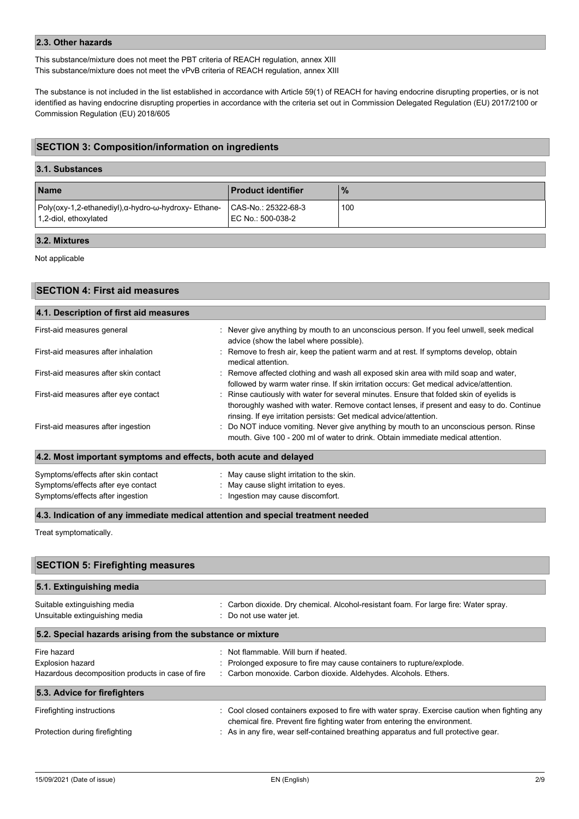# **2.3. Other hazards**

This substance/mixture does not meet the PBT criteria of REACH regulation, annex XIII This substance/mixture does not meet the vPvB criteria of REACH regulation, annex XIII

The substance is not included in the list established in accordance with Article 59(1) of REACH for having endocrine disrupting properties, or is not identified as having endocrine disrupting properties in accordance with the criteria set out in Commission Delegated Regulation (EU) 2017/2100 or Commission Regulation (EU) 2018/605

### **SECTION 3: Composition/information on ingredients**

# **3.1. Substances**

| <b>Name</b>                                                                   | l Product identifier                     | $\%$ |
|-------------------------------------------------------------------------------|------------------------------------------|------|
| Poly(oxy-1,2-ethanediyl), α-hydro-ω-hydroxy- Ethane-<br>1,2-diol, ethoxylated | CAS-No.: 25322-68-3<br>EC No.: 500-038-2 | 100  |

# **3.2. Mixtures**

Not applicable

| <b>SECTION 4: First aid measures</b>                             |                                                                                                                                                                                                                                                            |  |
|------------------------------------------------------------------|------------------------------------------------------------------------------------------------------------------------------------------------------------------------------------------------------------------------------------------------------------|--|
| 4.1. Description of first aid measures                           |                                                                                                                                                                                                                                                            |  |
| First-aid measures general                                       | : Never give anything by mouth to an unconscious person. If you feel unwell, seek medical<br>advice (show the label where possible).                                                                                                                       |  |
| First-aid measures after inhalation                              | : Remove to fresh air, keep the patient warm and at rest. If symptoms develop, obtain<br>medical attention.                                                                                                                                                |  |
| First-aid measures after skin contact                            | : Remove affected clothing and wash all exposed skin area with mild soap and water,<br>followed by warm water rinse. If skin irritation occurs: Get medical advice/attention.                                                                              |  |
| First-aid measures after eye contact                             | : Rinse cautiously with water for several minutes. Ensure that folded skin of eyelids is<br>thoroughly washed with water. Remove contact lenses, if present and easy to do. Continue<br>rinsing. If eye irritation persists: Get medical advice/attention. |  |
| First-aid measures after ingestion                               | : Do NOT induce vomiting. Never give anything by mouth to an unconscious person. Rinse<br>mouth. Give 100 - 200 ml of water to drink. Obtain immediate medical attention.                                                                                  |  |
| 4.2. Most important symptoms and effects, both acute and delayed |                                                                                                                                                                                                                                                            |  |
| Symptoms/effects after skin contact                              | : May cause slight irritation to the skin.                                                                                                                                                                                                                 |  |
| Symptoms/effects after eye contact                               | : May cause slight irritation to eyes.                                                                                                                                                                                                                     |  |
| Symptoms/effects after ingestion                                 | : Ingestion may cause discomfort.                                                                                                                                                                                                                          |  |
|                                                                  | 4.3. Indication of any immediate medical attention and special treatment needed                                                                                                                                                                            |  |

Treat symptomatically.

| <b>SECTION 5: Firefighting measures</b>                        |                                                                                                                                                                            |  |  |
|----------------------------------------------------------------|----------------------------------------------------------------------------------------------------------------------------------------------------------------------------|--|--|
| 5.1. Extinguishing media                                       |                                                                                                                                                                            |  |  |
| Suitable extinguishing media<br>Unsuitable extinguishing media | : Carbon dioxide. Dry chemical. Alcohol-resistant foam. For large fire: Water spray.<br>: Do not use water jet.                                                            |  |  |
| 5.2. Special hazards arising from the substance or mixture     |                                                                                                                                                                            |  |  |
| Fire hazard                                                    | : Not flammable. Will burn if heated.                                                                                                                                      |  |  |
| <b>Explosion hazard</b>                                        | : Prolonged exposure to fire may cause containers to rupture/explode.                                                                                                      |  |  |
| Hazardous decomposition products in case of fire               | : Carbon monoxide. Carbon dioxide. Aldehydes. Alcohols. Ethers.                                                                                                            |  |  |
| 5.3. Advice for firefighters                                   |                                                                                                                                                                            |  |  |
| Firefighting instructions                                      | : Cool closed containers exposed to fire with water spray. Exercise caution when fighting any<br>chemical fire. Prevent fire fighting water from entering the environment. |  |  |
| Protection during firefighting                                 | : As in any fire, wear self-contained breathing apparatus and full protective gear.                                                                                        |  |  |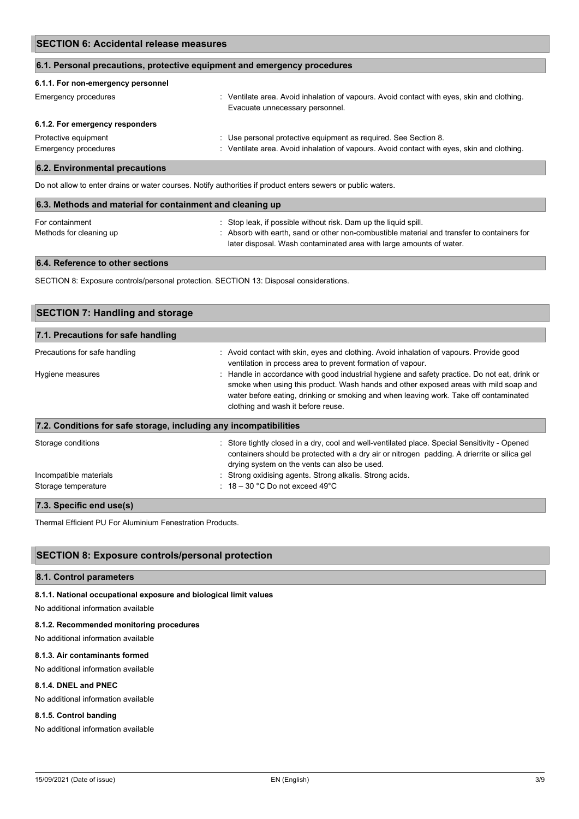# **6.1. Personal precautions, protective equipment and emergency procedures**

| 6.1.1. For non-emergency personnel |                                                                                                                               |
|------------------------------------|-------------------------------------------------------------------------------------------------------------------------------|
| Emergency procedures               | : Ventilate area. Avoid inhalation of vapours. Avoid contact with eyes, skin and clothing.<br>Evacuate unnecessary personnel. |
| 6.1.2. For emergency responders    |                                                                                                                               |
| Protective equipment               | : Use personal protective equipment as required. See Section 8.                                                               |
| Emergency procedures               | : Ventilate area. Avoid inhalation of vapours. Avoid contact with eyes, skin and clothing.                                    |
| 6.2. Environmental precautions     |                                                                                                                               |
|                                    |                                                                                                                               |

Do not allow to enter drains or water courses. Notify authorities if product enters sewers or public waters.

| 6.3. Methods and material for containment and cleaning up |                                                                                                                                                                   |  |
|-----------------------------------------------------------|-------------------------------------------------------------------------------------------------------------------------------------------------------------------|--|
| For containment                                           | : Stop leak, if possible without risk. Dam up the liquid spill.                                                                                                   |  |
| Methods for cleaning up                                   | : Absorb with earth, sand or other non-combustible material and transfer to containers for<br>later disposal. Wash contaminated area with large amounts of water. |  |

#### **6.4. Reference to other sections**

SECTION 8: Exposure controls/personal protection. SECTION 13: Disposal considerations.

| <b>SECTION 7: Handling and storage</b>                            |                                                                                                                                                                                                                                                                                                                      |  |
|-------------------------------------------------------------------|----------------------------------------------------------------------------------------------------------------------------------------------------------------------------------------------------------------------------------------------------------------------------------------------------------------------|--|
| 7.1. Precautions for safe handling                                |                                                                                                                                                                                                                                                                                                                      |  |
| Precautions for safe handling                                     | : Avoid contact with skin, eyes and clothing. Avoid inhalation of vapours. Provide good<br>ventilation in process area to prevent formation of vapour.                                                                                                                                                               |  |
| Hygiene measures                                                  | : Handle in accordance with good industrial hygiene and safety practice. Do not eat, drink or<br>smoke when using this product. Wash hands and other exposed areas with mild soap and<br>water before eating, drinking or smoking and when leaving work. Take off contaminated<br>clothing and wash it before reuse. |  |
| 7.2. Conditions for safe storage, including any incompatibilities |                                                                                                                                                                                                                                                                                                                      |  |
| Storage conditions                                                | : Store tightly closed in a dry, cool and well-ventilated place. Special Sensitivity - Opened<br>containers should be protected with a dry air or nitrogen padding. A drierrite or silica gel<br>drying system on the vents can also be used.                                                                        |  |
| Incompatible materials                                            | : Strong oxidising agents. Strong alkalis. Strong acids.                                                                                                                                                                                                                                                             |  |
| Storage temperature                                               | : $18-30$ °C Do not exceed 49°C                                                                                                                                                                                                                                                                                      |  |
|                                                                   |                                                                                                                                                                                                                                                                                                                      |  |

**7.3. Specific end use(s)**

Thermal Efficient PU For Aluminium Fenestration Products.

# **SECTION 8: Exposure controls/personal protection**

#### **8.1. Control parameters**

#### **8.1.1. National occupational exposure and biological limit values**

No additional information available

#### **8.1.2. Recommended monitoring procedures**

No additional information available

#### **8.1.3. Air contaminants formed**

No additional information available

### **8.1.4. DNEL and PNEC**

No additional information available

### **8.1.5. Control banding**

No additional information available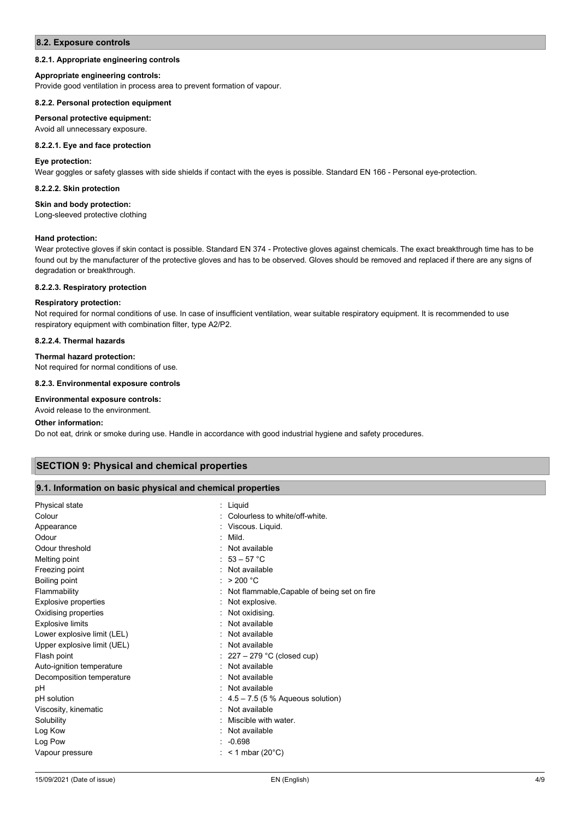# **8.2. Exposure controls**

#### **8.2.1. Appropriate engineering controls**

#### **Appropriate engineering controls:**

Provide good ventilation in process area to prevent formation of vapour.

#### **8.2.2. Personal protection equipment**

# **Personal protective equipment:**

#### Avoid all unnecessary exposure.

#### **8.2.2.1. Eye and face protection**

#### **Eye protection:**

Wear goggles or safety glasses with side shields if contact with the eyes is possible. Standard EN 166 - Personal eye-protection.

#### **8.2.2.2. Skin protection**

#### **Skin and body protection:**

Long-sleeved protective clothing

#### **Hand protection:**

Wear protective gloves if skin contact is possible. Standard EN 374 - Protective gloves against chemicals. The exact breakthrough time has to be found out by the manufacturer of the protective gloves and has to be observed. Gloves should be removed and replaced if there are any signs of degradation or breakthrough.

#### **8.2.2.3. Respiratory protection**

#### **Respiratory protection:**

Not required for normal conditions of use. In case of insufficient ventilation, wear suitable respiratory equipment. It is recommended to use respiratory equipment with combination filter, type A2/Р2.

#### **8.2.2.4. Thermal hazards**

#### **Thermal hazard protection:**

Not required for normal conditions of use.

#### **8.2.3. Environmental exposure controls**

#### **Environmental exposure controls:**

Avoid release to the environment.

#### **Other information:**

Do not eat, drink or smoke during use. Handle in accordance with good industrial hygiene and safety procedures.

# **SECTION 9: Physical and chemical properties**

#### **9.1. Information on basic physical and chemical properties**

| Physical state<br>Colour    | : Liguid<br>Colourless to white/off-white.    |
|-----------------------------|-----------------------------------------------|
| Appearance                  | Viscous. Liquid.                              |
| Odour                       | $:$ Mild.                                     |
| Odour threshold             | : Not available                               |
| Melting point               | : $53 - 57$ °C                                |
| Freezing point              | Not available                                 |
| Boiling point               | : $>200 °C$                                   |
| Flammability                | Not flammable, Capable of being set on fire   |
| <b>Explosive properties</b> | Not explosive.                                |
| Oxidising properties        | Not oxidising.                                |
| <b>Explosive limits</b>     | Not available                                 |
| Lower explosive limit (LEL) | Not available                                 |
| Upper explosive limit (UEL) | Not available                                 |
| Flash point                 | : $227 - 279$ °C (closed cup)                 |
| Auto-ignition temperature   | Not available                                 |
| Decomposition temperature   | Not available                                 |
| рH                          | : Not available                               |
| pH solution                 | $\therefore$ 4.5 – 7.5 (5 % Aqueous solution) |
| Viscosity, kinematic        | Not available                                 |
| Solubility                  | Miscible with water.                          |
| Log Kow                     | Not available                                 |
| Log Pow                     | -0.698                                        |
| Vapour pressure             | $<$ 1 mbar (20 $^{\circ}$ C)                  |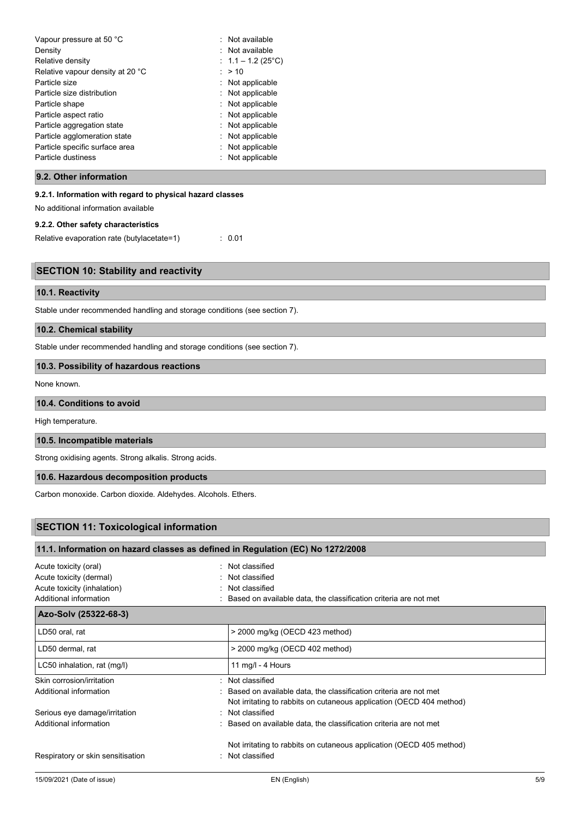| : Not available     |
|---------------------|
| : Not available     |
| : 1.1 – 1.2 (25 °C) |
| : > 10              |
| : Not applicable    |
| : Not applicable    |
| : Not applicable    |
| : Not applicable    |
| : Not applicable    |
| : Not applicable    |
| : Not applicable    |
| : Not applicable    |
|                     |

# **9.2. Other information**

#### **9.2.1. Information with regard to physical hazard classes**

No additional information available

#### **9.2.2. Other safety characteristics**

Relative evaporation rate (butylacetate=1) : 0.01

| <b>SECTION 10: Stability and reactivity</b> |  |
|---------------------------------------------|--|
|---------------------------------------------|--|

# **10.1. Reactivity**

Stable under recommended handling and storage conditions (see section 7).

### **10.2. Chemical stability**

Stable under recommended handling and storage conditions (see section 7).

# **10.3. Possibility of hazardous reactions**

None known.

### **10.4. Conditions to avoid**

High temperature.

# **10.5. Incompatible materials**

Strong oxidising agents. Strong alkalis. Strong acids.

# **10.6. Hazardous decomposition products**

Carbon monoxide. Carbon dioxide. Aldehydes. Alcohols. Ethers.

# **SECTION 11: Toxicological information**

| 11.1. Information on hazard classes as defined in Regulation (EC) No 1272/2008                            |                                                                                                                                                            |  |
|-----------------------------------------------------------------------------------------------------------|------------------------------------------------------------------------------------------------------------------------------------------------------------|--|
| Acute toxicity (oral)<br>Acute toxicity (dermal)<br>Acute toxicity (inhalation)<br>Additional information | Not classified<br>Not classified<br>Not classified<br>Based on available data, the classification criteria are not met                                     |  |
| Azo-Solv (25322-68-3)                                                                                     |                                                                                                                                                            |  |
| LD50 oral, rat                                                                                            | $>$ 2000 mg/kg (OECD 423 method)                                                                                                                           |  |
| LD50 dermal, rat                                                                                          | $>$ 2000 mg/kg (OECD 402 method)                                                                                                                           |  |
| LC50 inhalation, rat (mg/l)                                                                               | 11 mg/l - 4 Hours                                                                                                                                          |  |
| Skin corrosion/irritation<br>Additional information                                                       | Not classified<br>Based on available data, the classification criteria are not met<br>Not irritating to rabbits on cutaneous application (OECD 404 method) |  |
| Serious eye damage/irritation<br>Additional information                                                   | Not classified<br>Based on available data, the classification criteria are not met                                                                         |  |
| Respiratory or skin sensitisation                                                                         | Not irritating to rabbits on cutaneous application (OECD 405 method)<br>Not classified                                                                     |  |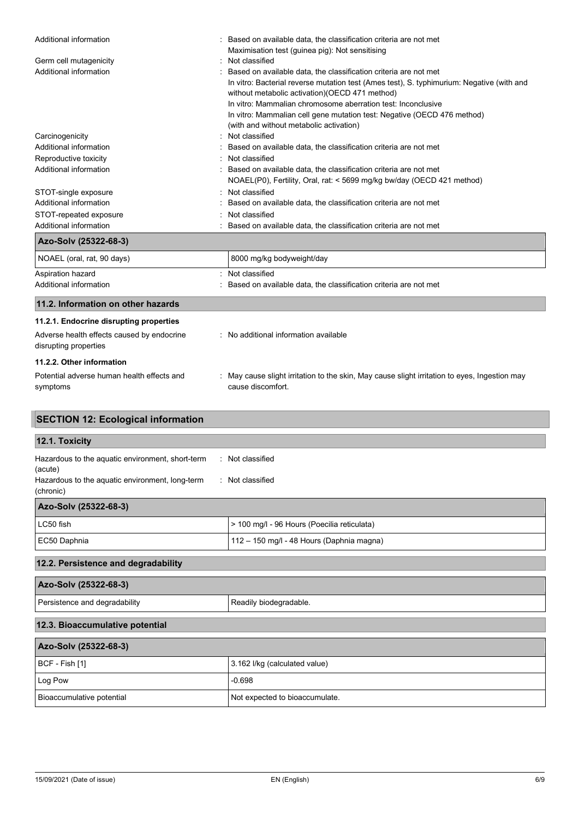| Additional information                                              | : Based on available data, the classification criteria are not met<br>Maximisation test (guinea pig): Not sensitising                                                                                                                                                                                                                                                                                 |
|---------------------------------------------------------------------|-------------------------------------------------------------------------------------------------------------------------------------------------------------------------------------------------------------------------------------------------------------------------------------------------------------------------------------------------------------------------------------------------------|
| Germ cell mutagenicity                                              | : Not classified                                                                                                                                                                                                                                                                                                                                                                                      |
| Additional information                                              | Based on available data, the classification criteria are not met<br>In vitro: Bacterial reverse mutation test (Ames test), S. typhimurium: Negative (with and<br>without metabolic activation)(OECD 471 method)<br>In vitro: Mammalian chromosome aberration test: Inconclusive<br>In vitro: Mammalian cell gene mutation test: Negative (OECD 476 method)<br>(with and without metabolic activation) |
| Carcinogenicity                                                     | Not classified                                                                                                                                                                                                                                                                                                                                                                                        |
| Additional information                                              | Based on available data, the classification criteria are not met                                                                                                                                                                                                                                                                                                                                      |
| Reproductive toxicity                                               | Not classified                                                                                                                                                                                                                                                                                                                                                                                        |
| Additional information                                              | Based on available data, the classification criteria are not met<br>NOAEL(P0), Fertility, Oral, rat: < 5699 mg/kg bw/day (OECD 421 method)                                                                                                                                                                                                                                                            |
| STOT-single exposure                                                | : Not classified                                                                                                                                                                                                                                                                                                                                                                                      |
| Additional information                                              | Based on available data, the classification criteria are not met                                                                                                                                                                                                                                                                                                                                      |
| STOT-repeated exposure                                              | Not classified                                                                                                                                                                                                                                                                                                                                                                                        |
| Additional information                                              | Based on available data, the classification criteria are not met                                                                                                                                                                                                                                                                                                                                      |
| Azo-Solv (25322-68-3)                                               |                                                                                                                                                                                                                                                                                                                                                                                                       |
| NOAEL (oral, rat, 90 days)                                          | 8000 mg/kg bodyweight/day                                                                                                                                                                                                                                                                                                                                                                             |
| Aspiration hazard                                                   | : Not classified                                                                                                                                                                                                                                                                                                                                                                                      |
| Additional information                                              | Based on available data, the classification criteria are not met                                                                                                                                                                                                                                                                                                                                      |
| 11.2. Information on other hazards                                  |                                                                                                                                                                                                                                                                                                                                                                                                       |
| 11.2.1. Endocrine disrupting properties                             |                                                                                                                                                                                                                                                                                                                                                                                                       |
| Adverse health effects caused by endocrine<br>disrupting properties | : No additional information available                                                                                                                                                                                                                                                                                                                                                                 |
| 11.2.2. Other information                                           |                                                                                                                                                                                                                                                                                                                                                                                                       |
| Potential adverse human health effects and<br>symptoms              | : May cause slight irritation to the skin, May cause slight irritation to eyes, Ingestion may<br>cause discomfort.                                                                                                                                                                                                                                                                                    |
| <b>SECTION 12: Ecological information</b>                           |                                                                                                                                                                                                                                                                                                                                                                                                       |
| 12.1. Toxicity                                                      |                                                                                                                                                                                                                                                                                                                                                                                                       |
| Hazardous to the aquatic environment, short-term<br>(acute)         | : Not classified                                                                                                                                                                                                                                                                                                                                                                                      |
| Hazardous to the aquatic environment, long-term                     | : Not classified                                                                                                                                                                                                                                                                                                                                                                                      |

| Azo-Solv (25322-68-3) |                                             |
|-----------------------|---------------------------------------------|
| LC50 fish             | > 100 mg/l - 96 Hours (Poecilia reticulata) |
| EC50 Daphnia          | 112 – 150 mg/l - 48 Hours (Daphnia magna)   |

| 12.2. Persistence and degradability |                        |  |
|-------------------------------------|------------------------|--|
| Azo-Solv (25322-68-3)               |                        |  |
| Persistence and degradability       | Readily biodegradable. |  |
|                                     |                        |  |

# **12.3. Bioaccumulative potential**

(chronic)

| Azo-Solv (25322-68-3)     |                                |
|---------------------------|--------------------------------|
| BCF - Fish [1]            | 3.162 I/kg (calculated value)  |
| Log Pow                   | $-0.698$                       |
| Bioaccumulative potential | Not expected to bioaccumulate. |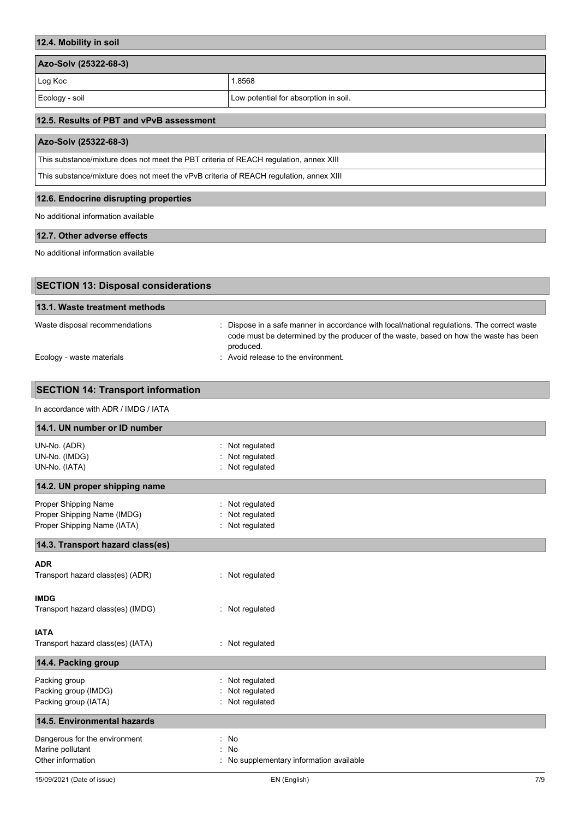| 12.4. Mobility in soil |                                       |
|------------------------|---------------------------------------|
| Azo-Solv (25322-68-3)  |                                       |
| Log Koc                | 1.8568                                |
| Ecology - soil         | Low potential for absorption in soil. |

# **12.5. Results of PBT and vPvB assessment**

### **Azo-Solv (25322-68-3)**

This substance/mixture does not meet the PBT criteria of REACH regulation, annex XIII

This substance/mixture does not meet the vPvB criteria of REACH regulation, annex XIII

### **12.6. Endocrine disrupting properties**

No additional information available

### **12.7. Other adverse effects**

No additional information available

| <b>SECTION 13: Disposal considerations</b> |                                                                                                                                                                                                   |
|--------------------------------------------|---------------------------------------------------------------------------------------------------------------------------------------------------------------------------------------------------|
| 13.1. Waste treatment methods              |                                                                                                                                                                                                   |
| Waste disposal recommendations             | : Dispose in a safe manner in accordance with local/national regulations. The correct waste<br>code must be determined by the producer of the waste, based on how the waste has been<br>produced. |
| Ecology - waste materials                  | : Avoid release to the environment.                                                                                                                                                               |

# **SECTION 14: Transport information**

In accordance with ADR / IMDG / IATA

| 14.1. UN number or ID number      |                                          |
|-----------------------------------|------------------------------------------|
| UN-No. (ADR)                      | Not regulated                            |
| UN-No. (IMDG)                     | Not regulated                            |
| UN-No. (IATA)                     | Not regulated                            |
| 14.2. UN proper shipping name     |                                          |
| Proper Shipping Name              | Not regulated                            |
| Proper Shipping Name (IMDG)       | Not regulated                            |
| Proper Shipping Name (IATA)       | : Not regulated                          |
| 14.3. Transport hazard class(es)  |                                          |
| <b>ADR</b>                        |                                          |
| Transport hazard class(es) (ADR)  | : Not regulated                          |
| <b>IMDG</b>                       |                                          |
| Transport hazard class(es) (IMDG) | : Not regulated                          |
| <b>IATA</b>                       |                                          |
| Transport hazard class(es) (IATA) | : Not regulated                          |
| 14.4. Packing group               |                                          |
| Packing group                     | Not regulated                            |
| Packing group (IMDG)              | Not regulated                            |
| Packing group (IATA)              | : Not regulated                          |
| 14.5. Environmental hazards       |                                          |
| Dangerous for the environment     | No<br>÷                                  |
| Marine pollutant                  | No                                       |
| Other information                 | : No supplementary information available |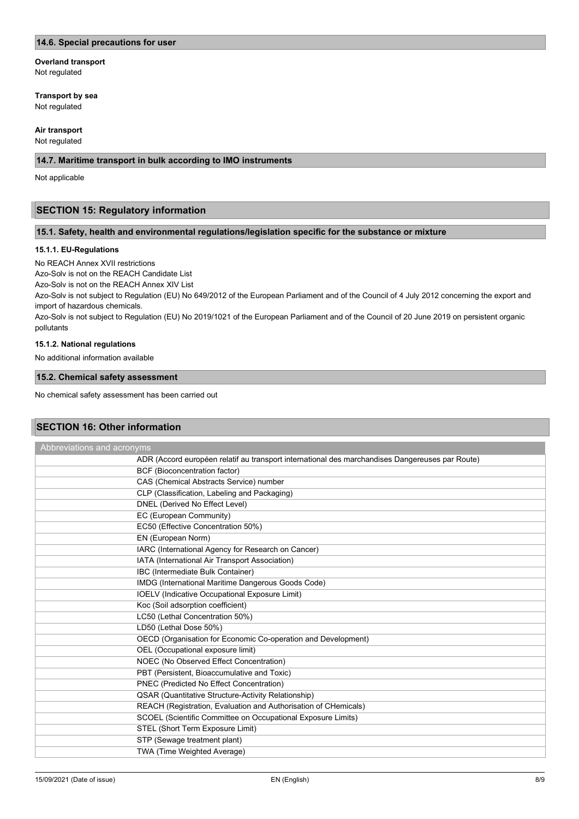### **14.6. Special precautions for user**

**Overland transport**

Not regulated

**Transport by sea**

Not regulated

#### **Air transport**

Not regulated

### **14.7. Maritime transport in bulk according to IMO instruments**

Not applicable

### **SECTION 15: Regulatory information**

#### **15.1. Safety, health and environmental regulations/legislation specific for the substance or mixture**

### **15.1.1. EU-Regulations**

No REACH Annex XVII restrictions

Azo-Solv is not on the REACH Candidate List

Azo-Solv is not on the REACH Annex XIV List

Azo-Solv is not subject to Regulation (EU) No 649/2012 of the European Parliament and of the Council of 4 July 2012 concerning the export and import of hazardous chemicals.

Azo-Solv is not subject to Regulation (EU) No 2019/1021 of the European Parliament and of the Council of 20 June 2019 on persistent organic pollutants

#### **15.1.2. National regulations**

No additional information available

### **15.2. Chemical safety assessment**

No chemical safety assessment has been carried out

# **SECTION 16: Other information**

| <b>Abbreviations and acronyms</b> |                                                                                                 |
|-----------------------------------|-------------------------------------------------------------------------------------------------|
|                                   | ADR (Accord européen relatif au transport international des marchandises Dangereuses par Route) |
|                                   | BCF (Bioconcentration factor)                                                                   |
|                                   | CAS (Chemical Abstracts Service) number                                                         |
|                                   | CLP (Classification, Labeling and Packaging)                                                    |
|                                   | DNEL (Derived No Effect Level)                                                                  |
|                                   | EC (European Community)                                                                         |
|                                   | EC50 (Effective Concentration 50%)                                                              |
|                                   | EN (European Norm)                                                                              |
|                                   | IARC (International Agency for Research on Cancer)                                              |
|                                   | IATA (International Air Transport Association)                                                  |
|                                   | IBC (Intermediate Bulk Container)                                                               |
|                                   | IMDG (International Maritime Dangerous Goods Code)                                              |
|                                   | <b>IOELV</b> (Indicative Occupational Exposure Limit)                                           |
|                                   | Koc (Soil adsorption coefficient)                                                               |
|                                   | LC50 (Lethal Concentration 50%)                                                                 |
|                                   | LD50 (Lethal Dose 50%)                                                                          |
|                                   | OECD (Organisation for Economic Co-operation and Development)                                   |
|                                   | OEL (Occupational exposure limit)                                                               |
|                                   | NOEC (No Observed Effect Concentration)                                                         |
|                                   | PBT (Persistent, Bioaccumulative and Toxic)                                                     |
|                                   | PNEC (Predicted No Effect Concentration)                                                        |
|                                   | QSAR (Quantitative Structure-Activity Relationship)                                             |
|                                   | REACH (Registration, Evaluation and Authorisation of CHemicals)                                 |
|                                   | SCOEL (Scientific Committee on Occupational Exposure Limits)                                    |
|                                   | STEL (Short Term Exposure Limit)                                                                |
|                                   | STP (Sewage treatment plant)                                                                    |
|                                   | TWA (Time Weighted Average)                                                                     |